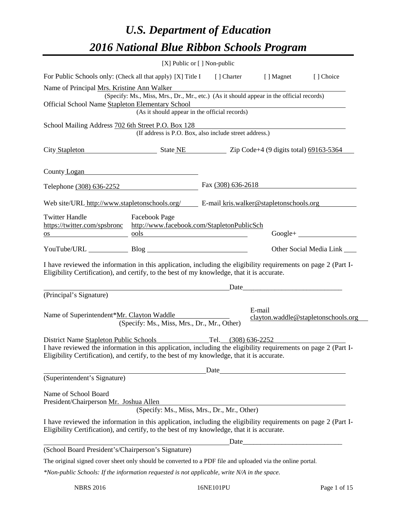# *U.S. Department of Education 2016 National Blue Ribbon Schools Program*

|                                                                                                                                                                                                              |                                                                                                                       | $[X]$ Public or $[ \ ]$ Non-public |                                                                                                                      |                                     |
|--------------------------------------------------------------------------------------------------------------------------------------------------------------------------------------------------------------|-----------------------------------------------------------------------------------------------------------------------|------------------------------------|----------------------------------------------------------------------------------------------------------------------|-------------------------------------|
| For Public Schools only: (Check all that apply) [X] Title I                                                                                                                                                  |                                                                                                                       |                                    | [] Charter [] Magnet                                                                                                 | [ ] Choice                          |
| Name of Principal Mrs. Kristine Ann Walker                                                                                                                                                                   |                                                                                                                       |                                    |                                                                                                                      |                                     |
| Official School Name Stapleton Elementary School                                                                                                                                                             | (Specify: Ms., Miss, Mrs., Dr., Mr., etc.) (As it should appear in the official records)                              |                                    |                                                                                                                      |                                     |
|                                                                                                                                                                                                              | Elementary School<br>(As it should appear in the official records)                                                    |                                    |                                                                                                                      |                                     |
| School Mailing Address 702 6th Street P.O. Box 128                                                                                                                                                           |                                                                                                                       |                                    |                                                                                                                      |                                     |
|                                                                                                                                                                                                              | (If address is P.O. Box, also include street address.)                                                                |                                    |                                                                                                                      |                                     |
| City Stapleton State NE State NE Zip Code+4 (9 digits total) 69163-5364                                                                                                                                      |                                                                                                                       |                                    |                                                                                                                      |                                     |
| County Logan                                                                                                                                                                                                 |                                                                                                                       |                                    |                                                                                                                      |                                     |
| Telephone (308) 636-2252                                                                                                                                                                                     |                                                                                                                       | Fax $(308)$ 636-2618               |                                                                                                                      |                                     |
| Web site/URL http://www.stapletonschools.org/ $E$ -mail kris.walker@stapletonschools.org                                                                                                                     |                                                                                                                       |                                    |                                                                                                                      |                                     |
| <b>Twitter Handle</b>                                                                                                                                                                                        | <b>Facebook Page</b>                                                                                                  |                                    |                                                                                                                      |                                     |
| https://twitter.com/spsbronc http://www.facebook.com/StapletonPublicSch                                                                                                                                      |                                                                                                                       |                                    |                                                                                                                      |                                     |
| OS                                                                                                                                                                                                           | <u>ools</u>                                                                                                           |                                    |                                                                                                                      | $Google +$                          |
| YouTube/URL Blog Blog                                                                                                                                                                                        |                                                                                                                       |                                    |                                                                                                                      | Other Social Media Link             |
| I have reviewed the information in this application, including the eligibility requirements on page 2 (Part I-<br>Eligibility Certification), and certify, to the best of my knowledge, that it is accurate. |                                                                                                                       |                                    |                                                                                                                      |                                     |
|                                                                                                                                                                                                              | <u> 1989 - Johann Barn, mars ann an t-Amhain an t-Amhain an t-Amhain an t-Amhain an t-Amhain an t-Amhain an t-Amh</u> | Date                               | <u> 2000 - Jan James James Jan James James James James James James James James James James James James James Jam</u> |                                     |
| (Principal's Signature)                                                                                                                                                                                      |                                                                                                                       |                                    |                                                                                                                      |                                     |
| Name of Superintendent*Mr. Clayton Waddle                                                                                                                                                                    | (Specify: Ms., Miss, Mrs., Dr., Mr., Other)                                                                           |                                    | E-mail                                                                                                               | clayton.waddle@stapletonschools.org |
| District Name Stapleton Public Schools Tel. (308) 636-2252                                                                                                                                                   |                                                                                                                       |                                    |                                                                                                                      |                                     |
| I have reviewed the information in this application, including the eligibility requirements on page 2 (Part I-<br>Eligibility Certification), and certify, to the best of my knowledge, that it is accurate. |                                                                                                                       |                                    |                                                                                                                      |                                     |
|                                                                                                                                                                                                              |                                                                                                                       |                                    |                                                                                                                      |                                     |
| (Superintendent's Signature)                                                                                                                                                                                 |                                                                                                                       |                                    |                                                                                                                      |                                     |
|                                                                                                                                                                                                              |                                                                                                                       |                                    |                                                                                                                      |                                     |
| Name of School Board<br>President/Chairperson Mr. Joshua Allen                                                                                                                                               |                                                                                                                       |                                    |                                                                                                                      |                                     |
|                                                                                                                                                                                                              | (Specify: Ms., Miss, Mrs., Dr., Mr., Other)                                                                           |                                    |                                                                                                                      |                                     |
| I have reviewed the information in this application, including the eligibility requirements on page 2 (Part I-<br>Eligibility Certification), and certify, to the best of my knowledge, that it is accurate. |                                                                                                                       |                                    |                                                                                                                      |                                     |
|                                                                                                                                                                                                              |                                                                                                                       |                                    |                                                                                                                      |                                     |
| (School Board President's/Chairperson's Signature)                                                                                                                                                           |                                                                                                                       |                                    |                                                                                                                      |                                     |
| The original signed cover sheet only should be converted to a PDF file and uploaded via the online portal.                                                                                                   |                                                                                                                       |                                    |                                                                                                                      |                                     |
| *Non-public Schools: If the information requested is not applicable, write N/A in the space.                                                                                                                 |                                                                                                                       |                                    |                                                                                                                      |                                     |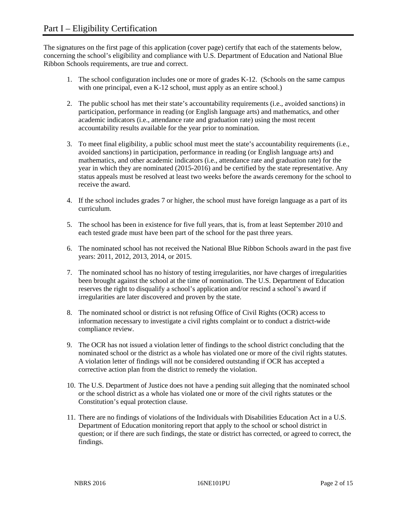The signatures on the first page of this application (cover page) certify that each of the statements below, concerning the school's eligibility and compliance with U.S. Department of Education and National Blue Ribbon Schools requirements, are true and correct.

- 1. The school configuration includes one or more of grades K-12. (Schools on the same campus with one principal, even a K-12 school, must apply as an entire school.)
- 2. The public school has met their state's accountability requirements (i.e., avoided sanctions) in participation, performance in reading (or English language arts) and mathematics, and other academic indicators (i.e., attendance rate and graduation rate) using the most recent accountability results available for the year prior to nomination.
- 3. To meet final eligibility, a public school must meet the state's accountability requirements (i.e., avoided sanctions) in participation, performance in reading (or English language arts) and mathematics, and other academic indicators (i.e., attendance rate and graduation rate) for the year in which they are nominated (2015-2016) and be certified by the state representative. Any status appeals must be resolved at least two weeks before the awards ceremony for the school to receive the award.
- 4. If the school includes grades 7 or higher, the school must have foreign language as a part of its curriculum.
- 5. The school has been in existence for five full years, that is, from at least September 2010 and each tested grade must have been part of the school for the past three years.
- 6. The nominated school has not received the National Blue Ribbon Schools award in the past five years: 2011, 2012, 2013, 2014, or 2015.
- 7. The nominated school has no history of testing irregularities, nor have charges of irregularities been brought against the school at the time of nomination. The U.S. Department of Education reserves the right to disqualify a school's application and/or rescind a school's award if irregularities are later discovered and proven by the state.
- 8. The nominated school or district is not refusing Office of Civil Rights (OCR) access to information necessary to investigate a civil rights complaint or to conduct a district-wide compliance review.
- 9. The OCR has not issued a violation letter of findings to the school district concluding that the nominated school or the district as a whole has violated one or more of the civil rights statutes. A violation letter of findings will not be considered outstanding if OCR has accepted a corrective action plan from the district to remedy the violation.
- 10. The U.S. Department of Justice does not have a pending suit alleging that the nominated school or the school district as a whole has violated one or more of the civil rights statutes or the Constitution's equal protection clause.
- 11. There are no findings of violations of the Individuals with Disabilities Education Act in a U.S. Department of Education monitoring report that apply to the school or school district in question; or if there are such findings, the state or district has corrected, or agreed to correct, the findings.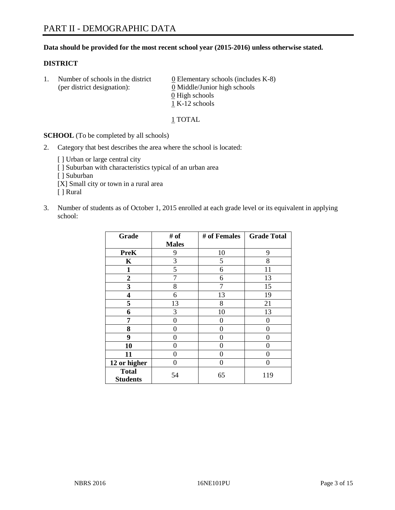## **Data should be provided for the most recent school year (2015-2016) unless otherwise stated.**

## **DISTRICT**

1. Number of schools in the district  $0$  Elementary schools (includes K-8) (per district designation): 0 Middle/Junior high schools 0 High schools 1 K-12 schools

1 TOTAL

**SCHOOL** (To be completed by all schools)

- 2. Category that best describes the area where the school is located:
	- [] Urban or large central city [ ] Suburban with characteristics typical of an urban area [ ] Suburban [X] Small city or town in a rural area [ ] Rural
- 3. Number of students as of October 1, 2015 enrolled at each grade level or its equivalent in applying school:

| Grade                           | # of         | # of Females | <b>Grade Total</b> |
|---------------------------------|--------------|--------------|--------------------|
|                                 | <b>Males</b> |              |                    |
| <b>PreK</b>                     | 9            | 10           | 9                  |
| $\mathbf K$                     | 3            | 5            | 8                  |
| 1                               | 5            | 6            | 11                 |
| $\overline{2}$                  | 7            | 6            | 13                 |
| 3                               | 8            | 7            | 15                 |
| 4                               | 6            | 13           | 19                 |
| 5                               | 13           | 8            | 21                 |
| 6                               | 3            | 10           | 13                 |
| 7                               | 0            | 0            | 0                  |
| 8                               | 0            | 0            | 0                  |
| 9                               | 0            | 0            | 0                  |
| 10                              | 0            | 0            | 0                  |
| 11                              | 0            | 0            | $\mathbf{\Omega}$  |
| 12 or higher                    | 0            | 0            | 0                  |
| <b>Total</b><br><b>Students</b> | 54           | 65           | 119                |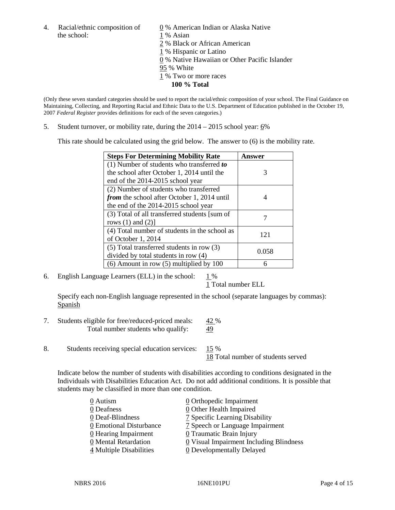4. Racial/ethnic composition of  $\qquad \qquad \underline{0}$  % American Indian or Alaska Native the school: 1 % Asian

 % Black or African American % Hispanic or Latino % Native Hawaiian or Other Pacific Islander 95 % White % Two or more races **100 % Total**

(Only these seven standard categories should be used to report the racial/ethnic composition of your school. The Final Guidance on Maintaining, Collecting, and Reporting Racial and Ethnic Data to the U.S. Department of Education published in the October 19, 2007 *Federal Register* provides definitions for each of the seven categories.)

5. Student turnover, or mobility rate, during the  $2014 - 2015$  school year:  $6\%$ 

This rate should be calculated using the grid below. The answer to (6) is the mobility rate.

| <b>Steps For Determining Mobility Rate</b>         | Answer |  |
|----------------------------------------------------|--------|--|
| (1) Number of students who transferred to          |        |  |
| the school after October 1, 2014 until the         | 3      |  |
| end of the 2014-2015 school year                   |        |  |
| (2) Number of students who transferred             |        |  |
| <i>from</i> the school after October 1, 2014 until |        |  |
| the end of the 2014-2015 school year               |        |  |
| (3) Total of all transferred students [sum of      |        |  |
| rows $(1)$ and $(2)$ ]                             |        |  |
| (4) Total number of students in the school as      | 121    |  |
| of October 1, 2014                                 |        |  |
| (5) Total transferred students in row (3)          | 0.058  |  |
| divided by total students in row (4)               |        |  |
| $(6)$ Amount in row $(5)$ multiplied by 100        | 6      |  |

6. English Language Learners (ELL) in the school:  $1\%$ 

1 Total number ELL

Specify each non-English language represented in the school (separate languages by commas): Spanish

- 7. Students eligible for free/reduced-priced meals: 42 % Total number students who qualify:  $\frac{49}{9}$
- 8. Students receiving special education services: 15 %

18 Total number of students served

Indicate below the number of students with disabilities according to conditions designated in the Individuals with Disabilities Education Act. Do not add additional conditions. It is possible that students may be classified in more than one condition.

| 0 Autism                            | 0 Orthopedic Impairment                 |
|-------------------------------------|-----------------------------------------|
| 0 Deafness                          | 0 Other Health Impaired                 |
| 0 Deaf-Blindness                    | 7 Specific Learning Disability          |
| 0 Emotional Disturbance             | 7 Speech or Language Impairment         |
| 0 Hearing Impairment                | 0 Traumatic Brain Injury                |
| 0 Mental Retardation                | 0 Visual Impairment Including Blindness |
| $\frac{4}{5}$ Multiple Disabilities | <b>0</b> Developmentally Delayed        |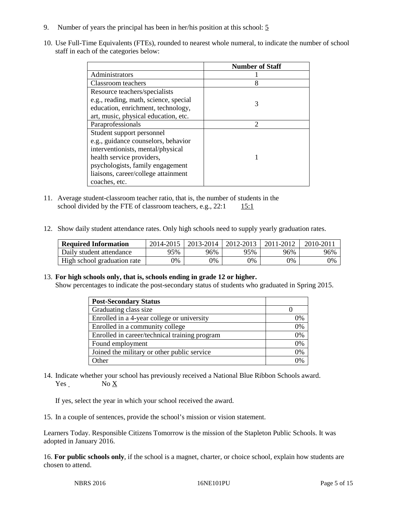- 9. Number of years the principal has been in her/his position at this school: 5
- 10. Use Full-Time Equivalents (FTEs), rounded to nearest whole numeral, to indicate the number of school staff in each of the categories below:

|                                       | <b>Number of Staff</b> |
|---------------------------------------|------------------------|
| Administrators                        |                        |
| Classroom teachers                    | 8                      |
| Resource teachers/specialists         |                        |
| e.g., reading, math, science, special | 3                      |
| education, enrichment, technology,    |                        |
| art, music, physical education, etc.  |                        |
| Paraprofessionals                     | $\mathcal{D}$          |
| Student support personnel             |                        |
| e.g., guidance counselors, behavior   |                        |
| interventionists, mental/physical     |                        |
| health service providers,             |                        |
| psychologists, family engagement      |                        |
| liaisons, career/college attainment   |                        |
| coaches, etc.                         |                        |

- 11. Average student-classroom teacher ratio, that is, the number of students in the school divided by the FTE of classroom teachers, e.g.,  $22:1$  15:1
- 12. Show daily student attendance rates. Only high schools need to supply yearly graduation rates.

| <b>Required Information</b> | 2014-2015 | 2013-2014 | 2012-2013 | 2011-2012 | 2010-2011 |
|-----------------------------|-----------|-----------|-----------|-----------|-----------|
| Daily student attendance    | 95%       | 96%       | 95%       | 96%       | 96%       |
| High school graduation rate | 9%        | 0%        | 0%        | 9%        | 0%        |

## 13. **For high schools only, that is, schools ending in grade 12 or higher.**

Show percentages to indicate the post-secondary status of students who graduated in Spring 2015.

| <b>Post-Secondary Status</b>                  |    |
|-----------------------------------------------|----|
| Graduating class size                         |    |
| Enrolled in a 4-year college or university    | 0% |
| Enrolled in a community college               | 0% |
| Enrolled in career/technical training program | 0% |
| Found employment                              | 0% |
| Joined the military or other public service   | 0% |
| Other                                         | 0/ |

14. Indicate whether your school has previously received a National Blue Ribbon Schools award. Yes No X

If yes, select the year in which your school received the award.

15. In a couple of sentences, provide the school's mission or vision statement.

Learners Today. Responsible Citizens Tomorrow is the mission of the Stapleton Public Schools. It was adopted in January 2016.

16. **For public schools only**, if the school is a magnet, charter, or choice school, explain how students are chosen to attend.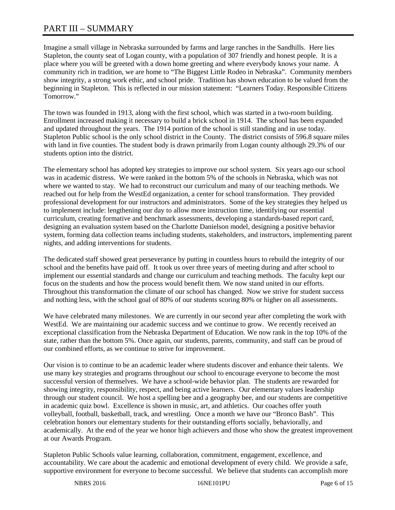# PART III – SUMMARY

Imagine a small village in Nebraska surrounded by farms and large ranches in the Sandhills. Here lies Stapleton, the county seat of Logan county, with a population of 307 friendly and honest people. It is a place where you will be greeted with a down home greeting and where everybody knows your name. A community rich in tradition, we are home to "The Biggest Little Rodeo in Nebraska". Community members show integrity, a strong work ethic, and school pride. Tradition has shown education to be valued from the beginning in Stapleton. This is reflected in our mission statement: "Learners Today. Responsible Citizens Tomorrow."

The town was founded in 1913, along with the first school, which was started in a two-room building. Enrollment increased making it necessary to build a brick school in 1914. The school has been expanded and updated throughout the years. The 1914 portion of the school is still standing and in use today. Stapleton Public school is the only school district in the County. The district consists of 596.8 square miles with land in five counties. The student body is drawn primarily from Logan county although 29.3% of our students option into the district.

The elementary school has adopted key strategies to improve our school system. Six years ago our school was in academic distress. We were ranked in the bottom 5% of the schools in Nebraska, which was not where we wanted to stay. We had to reconstruct our curriculum and many of our teaching methods. We reached out for help from the WestEd organization, a center for school transformation. They provided professional development for our instructors and administrators. Some of the key strategies they helped us to implement include: lengthening our day to allow more instruction time, identifying our essential curriculum, creating formative and benchmark assessments, developing a standards-based report card, designing an evaluation system based on the Charlotte Danielson model, designing a positive behavior system, forming data collection teams including students, stakeholders, and instructors, implementing parent nights, and adding interventions for students.

The dedicated staff showed great perseverance by putting in countless hours to rebuild the integrity of our school and the benefits have paid off. It took us over three years of meeting during and after school to implement our essential standards and change our curriculum and teaching methods. The faculty kept our focus on the students and how the process would benefit them. We now stand united in our efforts. Throughout this transformation the climate of our school has changed. Now we strive for student success and nothing less, with the school goal of 80% of our students scoring 80% or higher on all assessments.

We have celebrated many milestones. We are currently in our second year after completing the work with WestEd. We are maintaining our academic success and we continue to grow. We recently received an exceptional classification from the Nebraska Department of Education. We now rank in the top 10% of the state, rather than the bottom 5%. Once again, our students, parents, community, and staff can be proud of our combined efforts, as we continue to strive for improvement.

Our vision is to continue to be an academic leader where students discover and enhance their talents. We use many key strategies and programs throughout our school to encourage everyone to become the most successful version of themselves. We have a school-wide behavior plan. The students are rewarded for showing integrity, responsibility, respect, and being active learners. Our elementary values leadership through our student council. We host a spelling bee and a geography bee, and our students are competitive in academic quiz bowl. Excellence is shown in music, art, and athletics. Our coaches offer youth volleyball, football, basketball, track, and wrestling. Once a month we have our "Bronco Bash". This celebration honors our elementary students for their outstanding efforts socially, behaviorally, and academically. At the end of the year we honor high achievers and those who show the greatest improvement at our Awards Program.

Stapleton Public Schools value learning, collaboration, commitment, engagement, excellence, and accountability. We care about the academic and emotional development of every child. We provide a safe, supportive environment for everyone to become successful. We believe that students can accomplish more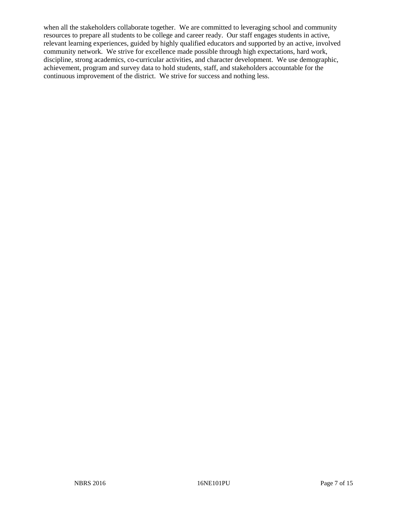when all the stakeholders collaborate together. We are committed to leveraging school and community resources to prepare all students to be college and career ready. Our staff engages students in active, relevant learning experiences, guided by highly qualified educators and supported by an active, involved community network. We strive for excellence made possible through high expectations, hard work, discipline, strong academics, co-curricular activities, and character development. We use demographic, achievement, program and survey data to hold students, staff, and stakeholders accountable for the continuous improvement of the district. We strive for success and nothing less.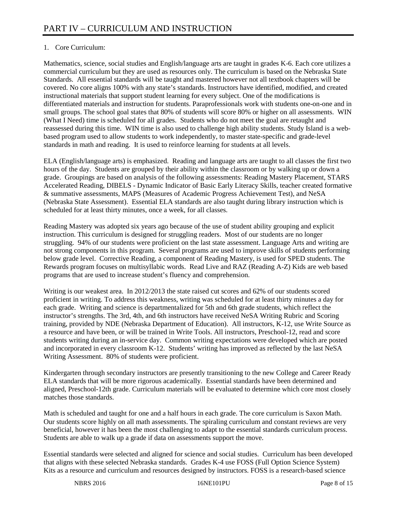# 1. Core Curriculum:

Mathematics, science, social studies and English/language arts are taught in grades K-6. Each core utilizes a commercial curriculum but they are used as resources only. The curriculum is based on the Nebraska State Standards. All essential standards will be taught and mastered however not all textbook chapters will be covered. No core aligns 100% with any state's standards. Instructors have identified, modified, and created instructional materials that support student learning for every subject. One of the modifications is differentiated materials and instruction for students. Paraprofessionals work with students one-on-one and in small groups. The school goal states that 80% of students will score 80% or higher on all assessments. WIN (What I Need) time is scheduled for all grades. Students who do not meet the goal are retaught and reassessed during this time. WIN time is also used to challenge high ability students. Study Island is a webbased program used to allow students to work independently, to master state-specific and grade-level standards in math and reading. It is used to reinforce learning for students at all levels.

ELA (English/language arts) is emphasized. Reading and language arts are taught to all classes the first two hours of the day. Students are grouped by their ability within the classroom or by walking up or down a grade. Groupings are based on analysis of the following assessments: Reading Mastery Placement, STARS Accelerated Reading, DIBELS - Dynamic Indicator of Basic Early Literacy Skills, teacher created formative & summative assessments, MAPS (Measures of Academic Progress Achievement Test), and NeSA (Nebraska State Assessment). Essential ELA standards are also taught during library instruction which is scheduled for at least thirty minutes, once a week, for all classes.

Reading Mastery was adopted six years ago because of the use of student ability grouping and explicit instruction. This curriculum is designed for struggling readers. Most of our students are no longer struggling. 94% of our students were proficient on the last state assessment. Language Arts and writing are not strong components in this program. Several programs are used to improve skills of students performing below grade level. Corrective Reading, a component of Reading Mastery, is used for SPED students. The Rewards program focuses on multisyllabic words. Read Live and RAZ (Reading A-Z) Kids are web based programs that are used to increase student's fluency and comprehension.

Writing is our weakest area. In 2012/2013 the state raised cut scores and 62% of our students scored proficient in writing. To address this weakness, writing was scheduled for at least thirty minutes a day for each grade. Writing and science is departmentalized for 5th and 6th grade students, which reflect the instructor's strengths. The 3rd, 4th, and 6th instructors have received NeSA Writing Rubric and Scoring training, provided by NDE (Nebraska Department of Education). All instructors, K-12, use Write Source as a resource and have been, or will be trained in Write Tools. All instructors, Preschool-12, read and score students writing during an in-service day. Common writing expectations were developed which are posted and incorporated in every classroom K-12. Students' writing has improved as reflected by the last NeSA Writing Assessment. 80% of students were proficient.

Kindergarten through secondary instructors are presently transitioning to the new College and Career Ready ELA standards that will be more rigorous academically. Essential standards have been determined and aligned, Preschool-12th grade. Curriculum materials will be evaluated to determine which core most closely matches those standards.

Math is scheduled and taught for one and a half hours in each grade. The core curriculum is Saxon Math. Our students score highly on all math assessments. The spiraling curriculum and constant reviews are very beneficial, however it has been the most challenging to adapt to the essential standards curriculum process. Students are able to walk up a grade if data on assessments support the move.

Essential standards were selected and aligned for science and social studies. Curriculum has been developed that aligns with these selected Nebraska standards. Grades K-4 use FOSS (Full Option Science System) Kits as a resource and curriculum and resources designed by instructors. FOSS is a research-based science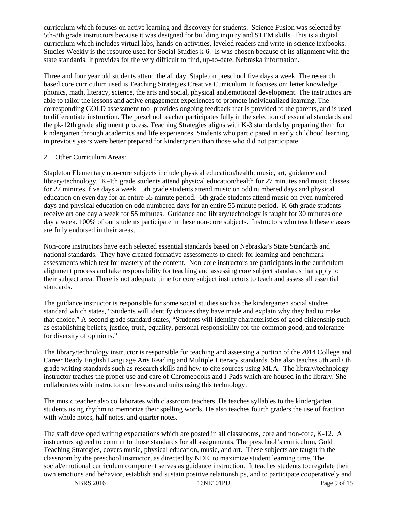curriculum which focuses on active learning and discovery for students. Science Fusion was selected by 5th-8th grade instructors because it was designed for building inquiry and STEM skills. This is a digital curriculum which includes virtual labs, hands-on activities, leveled readers and write-in science textbooks. Studies Weekly is the resource used for Social Studies k-6. Is was chosen because of its alignment with the state standards. It provides for the very difficult to find, up-to-date, Nebraska information.

Three and four year old students attend the all day, Stapleton preschool five days a week. The research based core curriculum used is Teaching Strategies Creative Curriculum. It focuses on; letter knowledge, phonics, math, literacy, science, the arts and social, physical and,emotional development. The instructors are able to tailor the lessons and active engagement experiences to promote individualized learning. The corresponding GOLD assessment tool provides ongoing feedback that is provided to the parents, and is used to differentiate instruction. The preschool teacher participates fully in the selection of essential standards and the pk-12th grade alignment process. Teaching Strategies aligns with K-3 standards by preparing them for kindergarten through academics and life experiences. Students who participated in early childhood learning in previous years were better prepared for kindergarten than those who did not participate.

# 2. Other Curriculum Areas:

Stapleton Elementary non-core subjects include physical education/health, music, art, guidance and library/technology. K-4th grade students attend physical education/health for 27 minutes and music classes for 27 minutes, five days a week. 5th grade students attend music on odd numbered days and physical education on even day for an entire 55 minute period. 6th grade students attend music on even numbered days and physical education on odd numbered days for an entire 55 minute period. K-6th grade students receive art one day a week for 55 minutes. Guidance and library/technology is taught for 30 minutes one day a week. 100% of our students participate in these non-core subjects. Instructors who teach these classes are fully endorsed in their areas.

Non-core instructors have each selected essential standards based on Nebraska's State Standards and national standards. They have created formative assessments to check for learning and benchmark assessments which test for mastery of the content. Non-core instructors are participants in the curriculum alignment process and take responsibility for teaching and assessing core subject standards that apply to their subject area. There is not adequate time for core subject instructors to teach and assess all essential standards.

The guidance instructor is responsible for some social studies such as the kindergarten social studies standard which states, "Students will identify choices they have made and explain why they had to make that choice." A second grade standard states, "Students will identify characteristics of good citizenship such as establishing beliefs, justice, truth, equality, personal responsibility for the common good, and tolerance for diversity of opinions."

The library/technology instructor is responsible for teaching and assessing a portion of the 2014 College and Career Ready English Language Arts Reading and Multiple Literacy standards. She also teaches 5th and 6th grade writing standards such as research skills and how to cite sources using MLA. The library/technology instructor teaches the proper use and care of Chromebooks and I-Pads which are housed in the library. She collaborates with instructors on lessons and units using this technology.

The music teacher also collaborates with classroom teachers. He teaches syllables to the kindergarten students using rhythm to memorize their spelling words. He also teaches fourth graders the use of fraction with whole notes, half notes, and quarter notes.

The staff developed writing expectations which are posted in all classrooms, core and non-core, K-12. All instructors agreed to commit to those standards for all assignments. The preschool's curriculum, Gold Teaching Strategies, covers music, physical education, music, and art. These subjects are taught in the classroom by the preschool instructor, as directed by NDE, to maximize student learning time. The social/emotional curriculum component serves as guidance instruction. It teaches students to: regulate their own emotions and behavior, establish and sustain positive relationships, and to participate cooperatively and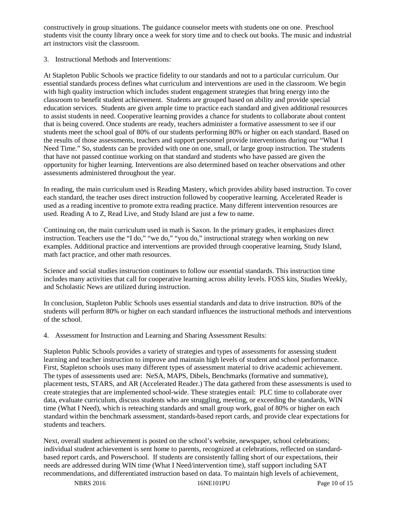constructively in group situations. The guidance counselor meets with students one on one. Preschool students visit the county library once a week for story time and to check out books. The music and industrial art instructors visit the classroom.

3. Instructional Methods and Interventions:

At Stapleton Public Schools we practice fidelity to our standards and not to a particular curriculum. Our essential standards process defines what curriculum and interventions are used in the classroom. We begin with high quality instruction which includes student engagement strategies that bring energy into the classroom to benefit student achievement. Students are grouped based on ability and provide special education services. Students are given ample time to practice each standard and given additional resources to assist students in need. Cooperative learning provides a chance for students to collaborate about content that is being covered. Once students are ready, teachers administer a formative assessment to see if our students meet the school goal of 80% of our students performing 80% or higher on each standard. Based on the results of those assessments, teachers and support personnel provide interventions during our "What I Need Time." So, students can be provided with one on one, small, or large group instruction. The students that have not passed continue working on that standard and students who have passed are given the opportunity for higher learning. Interventions are also determined based on teacher observations and other assessments administered throughout the year.

In reading, the main curriculum used is Reading Mastery, which provides ability based instruction. To cover each standard, the teacher uses direct instruction followed by cooperative learning. Accelerated Reader is used as a reading incentive to promote extra reading practice. Many different intervention resources are used. Reading A to Z, Read Live, and Study Island are just a few to name.

Continuing on, the main curriculum used in math is Saxon. In the primary grades, it emphasizes direct instruction. Teachers use the "I do," "we do," "you do," instructional strategy when working on new examples. Additional practice and interventions are provided through cooperative learning, Study Island, math fact practice, and other math resources.

Science and social studies instruction continues to follow our essential standards. This instruction time includes many activities that call for cooperative learning across ability levels. FOSS kits, Studies Weekly, and Scholastic News are utilized during instruction.

In conclusion, Stapleton Public Schools uses essential standards and data to drive instruction. 80% of the students will perform 80% or higher on each standard influences the instructional methods and interventions of the school.

4. Assessment for Instruction and Learning and Sharing Assessment Results:

Stapleton Public Schools provides a variety of strategies and types of assessments for assessing student learning and teacher instruction to improve and maintain high levels of student and school performance. First, Stapleton schools uses many different types of assessment material to drive academic achievement. The types of assessments used are: NeSA, MAPS, Dibels, Benchmarks (formative and summative), placement tests, STARS, and AR (Accelerated Reader.) The data gathered from these assessments is used to create strategies that are implemented school-wide. These strategies entail: PLC time to collaborate over data, evaluate curriculum, discuss students who are struggling, meeting, or exceeding the standards, WIN time (What I Need), which is reteaching standards and small group work, goal of 80% or higher on each standard within the benchmark assessment, standards-based report cards, and provide clear expectations for students and teachers.

Next, overall student achievement is posted on the school's website, newspaper, school celebrations; individual student achievement is sent home to parents, recognized at celebrations, reflected on standardbased report cards, and Powerschool. If students are consistently falling short of our expectations, their needs are addressed during WIN time (What I Need/intervention time), staff support including SAT recommendations, and differentiated instruction based on data. To maintain high levels of achievement,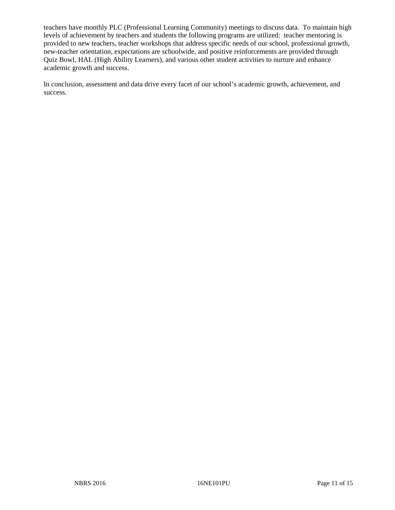teachers have monthly PLC (Professional Learning Community) meetings to discuss data. To maintain high levels of achievement by teachers and students the following programs are utilized: teacher mentoring is provided to new teachers, teacher workshops that address specific needs of our school, professional growth, new-teacher orientation, expectations are schoolwide, and positive reinforcements are provided through Quiz Bowl, HAL (High Ability Learners), and various other student activities to nurture and enhance academic growth and success.

In conclusion, assessment and data drive every facet of our school's academic growth, achievement, and success.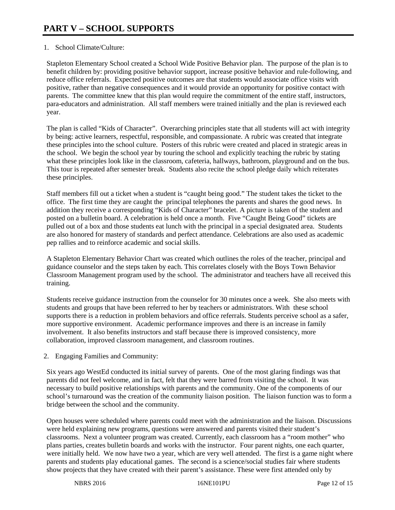# 1. School Climate/Culture:

Stapleton Elementary School created a School Wide Positive Behavior plan. The purpose of the plan is to benefit children by: providing positive behavior support, increase positive behavior and rule-following, and reduce office referrals. Expected positive outcomes are that students would associate office visits with positive, rather than negative consequences and it would provide an opportunity for positive contact with parents. The committee knew that this plan would require the commitment of the entire staff, instructors, para-educators and administration. All staff members were trained initially and the plan is reviewed each year.

The plan is called "Kids of Character". Overarching principles state that all students will act with integrity by being: active learners, respectful, responsible, and compassionate. A rubric was created that integrate these principles into the school culture. Posters of this rubric were created and placed in strategic areas in the school. We begin the school year by touring the school and explicitly teaching the rubric by stating what these principles look like in the classroom, cafeteria, hallways, bathroom, playground and on the bus. This tour is repeated after semester break. Students also recite the school pledge daily which reiterates these principles.

Staff members fill out a ticket when a student is "caught being good." The student takes the ticket to the office. The first time they are caught the principal telephones the parents and shares the good news. In addition they receive a corresponding "Kids of Character" bracelet. A picture is taken of the student and posted on a bulletin board. A celebration is held once a month. Five "Caught Being Good" tickets are pulled out of a box and those students eat lunch with the principal in a special designated area. Students are also honored for mastery of standards and perfect attendance. Celebrations are also used as academic pep rallies and to reinforce academic and social skills.

A Stapleton Elementary Behavior Chart was created which outlines the roles of the teacher, principal and guidance counselor and the steps taken by each. This correlates closely with the Boys Town Behavior Classroom Management program used by the school. The administrator and teachers have all received this training.

Students receive guidance instruction from the counselor for 30 minutes once a week. She also meets with students and groups that have been referred to her by teachers or administrators. With these school supports there is a reduction in problem behaviors and office referrals. Students perceive school as a safer, more supportive environment. Academic performance improves and there is an increase in family involvement. It also benefits instructors and staff because there is improved consistency, more collaboration, improved classroom management, and classroom routines.

2. Engaging Families and Community:

Six years ago WestEd conducted its initial survey of parents. One of the most glaring findings was that parents did not feel welcome, and in fact, felt that they were barred from visiting the school. It was necessary to build positive relationships with parents and the community. One of the components of our school's turnaround was the creation of the community liaison position. The liaison function was to form a bridge between the school and the community.

Open houses were scheduled where parents could meet with the administration and the liaison. Discussions were held explaining new programs, questions were answered and parents visited their student's classrooms. Next a volunteer program was created. Currently, each classroom has a "room mother" who plans parties, creates bulletin boards and works with the instructor. Four parent nights, one each quarter, were initially held. We now have two a year, which are very well attended. The first is a game night where parents and students play educational games. The second is a science/social studies fair where students show projects that they have created with their parent's assistance. These were first attended only by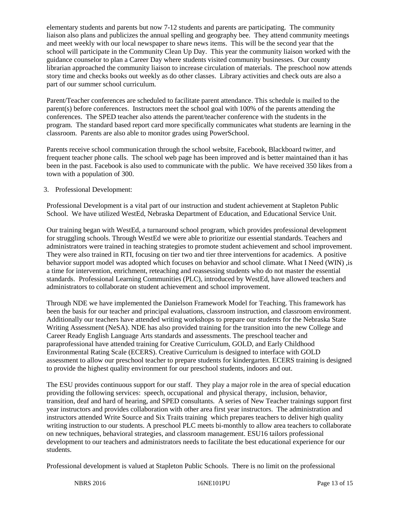elementary students and parents but now 7-12 students and parents are participating. The community liaison also plans and publicizes the annual spelling and geography bee. They attend community meetings and meet weekly with our local newspaper to share news items. This will be the second year that the school will participate in the Community Clean Up Day. This year the community liaison worked with the guidance counselor to plan a Career Day where students visited community businesses. Our county librarian approached the community liaison to increase circulation of materials. The preschool now attends story time and checks books out weekly as do other classes. Library activities and check outs are also a part of our summer school curriculum.

Parent/Teacher conferences are scheduled to facilitate parent attendance. This schedule is mailed to the parent(s) before conferences. Instructors meet the school goal with 100% of the parents attending the conferences. The SPED teacher also attends the parent/teacher conference with the students in the program. The standard based report card more specifically communicates what students are learning in the classroom. Parents are also able to monitor grades using PowerSchool.

Parents receive school communication through the school website, Facebook, Blackboard twitter, and frequent teacher phone calls. The school web page has been improved and is better maintained than it has been in the past. Facebook is also used to communicate with the public. We have received 350 likes from a town with a population of 300.

# 3. Professional Development:

Professional Development is a vital part of our instruction and student achievement at Stapleton Public School. We have utilized WestEd, Nebraska Department of Education, and Educational Service Unit.

Our training began with WestEd, a turnaround school program, which provides professional development for struggling schools. Through WestEd we were able to prioritize our essential standards. Teachers and administrators were trained in teaching strategies to promote student achievement and school improvement. They were also trained in RTI, focusing on tier two and tier three interventions for academics. A positive behavior support model was adopted which focuses on behavior and school climate. What I Need (WIN) ,is a time for intervention, enrichment, reteaching and reassessing students who do not master the essential standards. Professional Learning Communities (PLC), introduced by WestEd, have allowed teachers and administrators to collaborate on student achievement and school improvement.

Through NDE we have implemented the Danielson Framework Model for Teaching. This framework has been the basis for our teacher and principal evaluations, classroom instruction, and classroom environment. Additionally our teachers have attended writing workshops to prepare our students for the Nebraska State Writing Assessment (NeSA). NDE has also provided training for the transition into the new College and Career Ready English Language Arts standards and assessments. The preschool teacher and paraprofessional have attended training for Creative Curriculum, GOLD, and Early Childhood Environmental Rating Scale (ECERS). Creative Curriculum is designed to interface with GOLD assessment to allow our preschool teacher to prepare students for kindergarten. ECERS training is designed to provide the highest quality environment for our preschool students, indoors and out.

The ESU provides continuous support for our staff. They play a major role in the area of special education providing the following services: speech, occupational and physical therapy, inclusion, behavior, transition, deaf and hard of hearing, and SPED consultants. A series of New Teacher trainings support first year instructors and provides collaboration with other area first year instructors. The administration and instructors attended Write Source and Six Traits training which prepares teachers to deliver high quality writing instruction to our students. A preschool PLC meets bi-monthly to allow area teachers to collaborate on new techniques, behavioral strategies, and classroom management. ESU16 tailors professional development to our teachers and administrators needs to facilitate the best educational experience for our students.

Professional development is valued at Stapleton Public Schools. There is no limit on the professional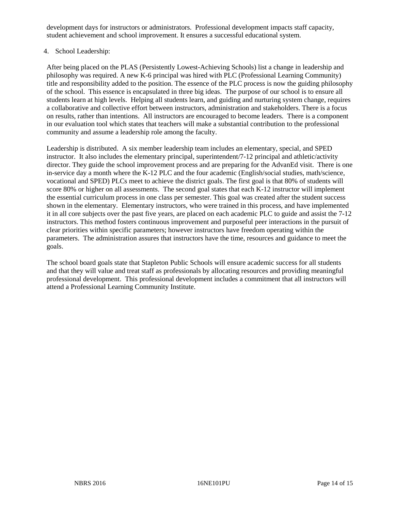development days for instructors or administrators. Professional development impacts staff capacity, student achievement and school improvement. It ensures a successful educational system.

# 4. School Leadership:

After being placed on the PLAS (Persistently Lowest-Achieving Schools) list a change in leadership and philosophy was required. A new K-6 principal was hired with PLC (Professional Learning Community) title and responsibility added to the position. The essence of the PLC process is now the guiding philosophy of the school. This essence is encapsulated in three big ideas. The purpose of our school is to ensure all students learn at high levels. Helping all students learn, and guiding and nurturing system change, requires a collaborative and collective effort between instructors, administration and stakeholders. There is a focus on results, rather than intentions. All instructors are encouraged to become leaders. There is a component in our evaluation tool which states that teachers will make a substantial contribution to the professional community and assume a leadership role among the faculty.

Leadership is distributed. A six member leadership team includes an elementary, special, and SPED instructor. It also includes the elementary principal, superintendent/7-12 principal and athletic/activity director. They guide the school improvement process and are preparing for the AdvanEd visit. There is one in-service day a month where the K-12 PLC and the four academic (English/social studies, math/science, vocational and SPED) PLCs meet to achieve the district goals. The first goal is that 80% of students will score 80% or higher on all assessments. The second goal states that each K-12 instructor will implement the essential curriculum process in one class per semester. This goal was created after the student success shown in the elementary. Elementary instructors, who were trained in this process, and have implemented it in all core subjects over the past five years, are placed on each academic PLC to guide and assist the 7-12 instructors. This method fosters continuous improvement and purposeful peer interactions in the pursuit of clear priorities within specific parameters; however instructors have freedom operating within the parameters. The administration assures that instructors have the time, resources and guidance to meet the goals.

The school board goals state that Stapleton Public Schools will ensure academic success for all students and that they will value and treat staff as professionals by allocating resources and providing meaningful professional development. This professional development includes a commitment that all instructors will attend a Professional Learning Community Institute.